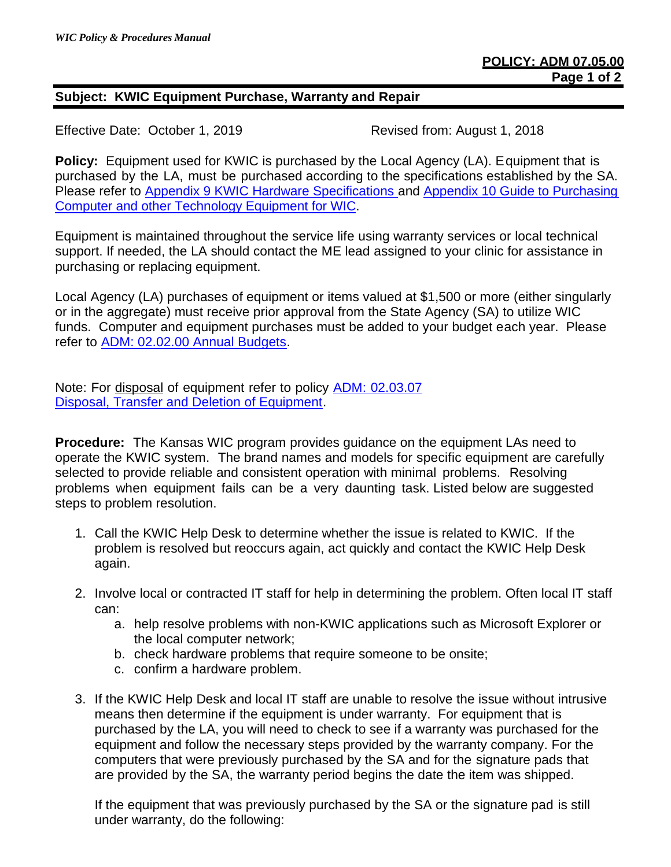## **Subject: KWIC Equipment Purchase, Warranty and Repair**

Effective Date: October 1, 2019 Revised from: August 1, 2018

**Policy:** Equipment used for KWIC is purchased by the Local Agency (LA). Equipment that is purchased by the LA, must be purchased according to the specifications established by the SA. Please refer to [Appendix 9 KWIC Hardware Specifications](http://www.kansaswic.org/manual/Appendix_9_KWIC_Hardware_Specifications.pdf) and Appendix 10 Guide to Purchasing [Computer and other Technology Equipment for WIC.](http://www.kansaswic.org/manual/Appendix_10_KWIC_Equipment_Purchase_or_Replacement_Questionnaire.pdf)

Equipment is maintained throughout the service life using warranty services or local technical support. If needed, the LA should contact the ME lead assigned to your clinic for assistance in purchasing or replacing equipment.

Local Agency (LA) purchases of equipment or items valued at \$1,500 or more (either singularly or in the aggregate) must receive prior approval from the State Agency (SA) to utilize WIC funds. Computer and equipment purchases must be added to your budget each year. Please refer to [ADM: 02.02.00 Annual Budgets.](http://www.kansaswic.org/manual/ADM_02_02_00_Annual_Budgets.pdf)

Note: For disposal of equipment refer to policy [ADM: 02.03.07](http://www.kansaswic.org/manual/ADM_02_03_07_Disposal_of_Equipment.pdf)  [Disposal, Transfer and Deletion of Equipment.](http://www.kansaswic.org/manual/ADM_02_03_07_Disposal_of_Equipment.pdf)

**Procedure:** The Kansas WIC program provides guidance on the equipment LAs need to operate the KWIC system. The brand names and models for specific equipment are carefully selected to provide reliable and consistent operation with minimal problems. Resolving problems when equipment fails can be a very daunting task. Listed below are suggested steps to problem resolution.

- 1. Call the KWIC Help Desk to determine whether the issue is related to KWIC. If the problem is resolved but reoccurs again, act quickly and contact the KWIC Help Desk again.
- 2. Involve local or contracted IT staff for help in determining the problem. Often local IT staff can:
	- a. help resolve problems with non-KWIC applications such as Microsoft Explorer or the local computer network;
	- b. check hardware problems that require someone to be onsite;
	- c. confirm a hardware problem.
- 3. If the KWIC Help Desk and local IT staff are unable to resolve the issue without intrusive means then determine if the equipment is under warranty. For equipment that is purchased by the LA, you will need to check to see if a warranty was purchased for the equipment and follow the necessary steps provided by the warranty company. For the computers that were previously purchased by the SA and for the signature pads that are provided by the SA, the warranty period begins the date the item was shipped.

If the equipment that was previously purchased by the SA or the signature pad is still under warranty, do the following: